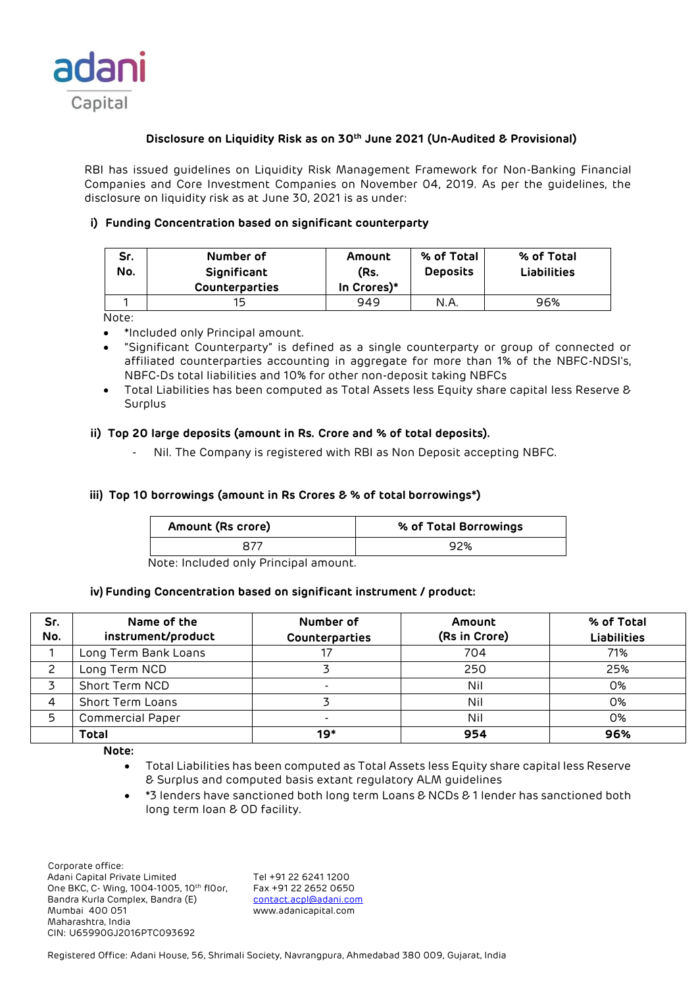

# **Disclosure on Liquidity Risk as on 30th June 2021 (Un-Audited & Provisional)**

RBI has issued guidelines on Liquidity Risk Management Framework for Non-Banking Financial Companies and Core Investment Companies on November 04, 2019. As per the guidelines, the disclosure on liquidity risk as at June 30, 2021 is as under:

# **i) Funding Concentration based on significant counterparty**

| Sr.<br>No. | Number of<br>Significant<br><b>Counterparties</b> | Amount<br>(Rs.<br>In Crores)* | % of Total<br><b>Deposits</b> | % of Total<br><b>Liabilities</b> |
|------------|---------------------------------------------------|-------------------------------|-------------------------------|----------------------------------|
|            | 15                                                | 949                           | N.A.                          | 96%                              |

Note:

- \*Included only Principal amount.
- "Significant Counterparty" is defined as a single counterparty or group of connected or affiliated counterparties accounting in aggregate for more than 1% of the NBFC-NDSI's, NBFC-Ds total liabilities and 10% for other non-deposit taking NBFCs
- Total Liabilities has been computed as Total Assets less Equity share capital less Reserve & Surplus

## **ii) Top 20 large deposits (amount in Rs. Crore and % of total deposits).**

Nil. The Company is registered with RBI as Non Deposit accepting NBFC.

## **iii) Top 10 borrowings (amount in Rs Crores & % of total borrowings\*)**

| Amount (Rs crore) | % of Total Borrowings |
|-------------------|-----------------------|
|                   | 92%                   |

Note: Included only Principal amount.

### **iv) Funding Concentration based on significant instrument / product:**

| Sr.<br>No. | Name of the<br>instrument/product | Number of<br>Counterparties | Amount<br>(Rs in Crore) | % of Total<br><b>Liabilities</b> |
|------------|-----------------------------------|-----------------------------|-------------------------|----------------------------------|
|            | Long Term Bank Loans              |                             | 704                     | 71%                              |
|            | Long Term NCD                     |                             | 250                     | 25%                              |
|            | Short Term NCD                    |                             | Nil                     | 0%                               |
|            | Short Term Loans                  |                             | Nil                     | 0%                               |
| 5          | <b>Commercial Paper</b>           | $\overline{\phantom{0}}$    | Nil                     | 0%                               |
|            | <b>Total</b>                      | 19*                         | 954                     | 96%                              |

**Note:** 

- Total Liabilities has been computed as Total Assets less Equity share capital less Reserve & Surplus and computed basis extant regulatory ALM guidelines
- \*3 lenders have sanctioned both long term Loans & NCDs & 1 lender has sanctioned both long term loan & OD facility.

 Corporate office: Adani Capital Private Limited Tel +91 22 6241 1200<br>One BKC, C- Wing, 1004-1005, 10th floor, Fax +91 22 2652 0650 One BKC, C- Wing, 1004-1005, 10th fl0or, Bandra Kurla Complex, Bandra (E) [contact.acpl@adani.com](mailto:contact.acpl@adani.com) Mumbai 400 051 www.adanicapital.com Maharashtra, India CIN: U65990GJ2016PTC093692